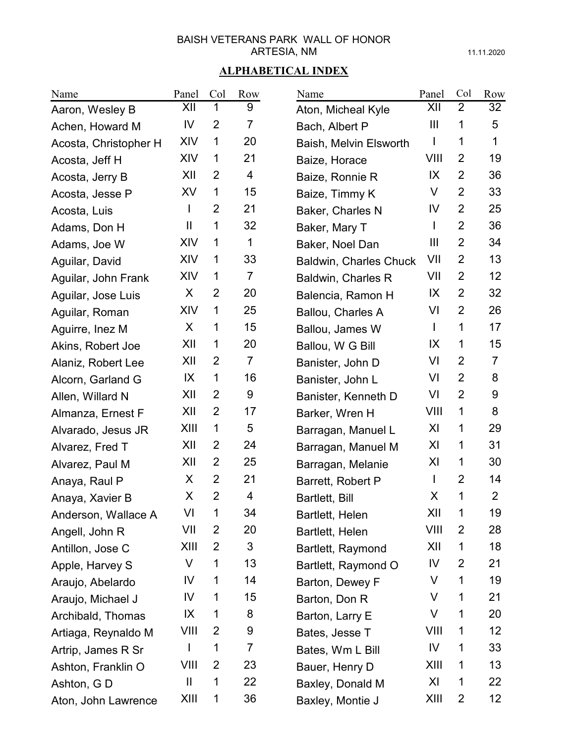11.11.2020

| Name                  | Panel | Col            | Row            | Name                          | Panel        | Col            | Row             |
|-----------------------|-------|----------------|----------------|-------------------------------|--------------|----------------|-----------------|
| Aaron, Wesley B       | XII   | 1              | 9              | Aton, Micheal Kyle            | XII          | $\overline{2}$ | 32              |
| Achen, Howard M       | IV    | $\overline{2}$ | $\overline{7}$ | Bach, Albert P                | Ш            | 1              | 5               |
| Acosta, Christopher H | XIV   | 1              | 20             | Baish, Melvin Elsworth        |              | 1              | 1               |
| Acosta, Jeff H        | XIV   | 1              | 21             | Baize, Horace                 | VIII         | $\overline{2}$ | 19              |
| Acosta, Jerry B       | XII   | $\overline{2}$ | 4              | Baize, Ronnie R               | IX           | 2              | 36              |
| Acosta, Jesse P       | XV    | 1              | 15             | Baize, Timmy K                | V            | $\overline{2}$ | 33              |
| Acosta, Luis          | L     | 2              | 21             | Baker, Charles N              | IV           | $\overline{2}$ | 25              |
| Adams, Don H          | Ш     | 1              | 32             | Baker, Mary T                 | L            | $\overline{2}$ | 36              |
| Adams, Joe W          | XIV   | 1              | 1              | Baker, Noel Dan               | Ш            | $\overline{2}$ | 34              |
| Aguilar, David        | XIV   | 1              | 33             | <b>Baldwin, Charles Chuck</b> | VII          | $\overline{2}$ | 13              |
| Aguilar, John Frank   | XIV   | 1              | $\overline{7}$ | Baldwin, Charles R            | VII          | $\overline{2}$ | 12 <sub>2</sub> |
| Aguilar, Jose Luis    | X     | $\overline{2}$ | 20             | Balencia, Ramon H             | IX           | $\overline{2}$ | 32              |
| Aguilar, Roman        | XIV   | 1              | 25             | <b>Ballou, Charles A</b>      | VI           | $\overline{2}$ | 26              |
| Aguirre, Inez M       | X     | 1              | 15             | Ballou, James W               | L            | 1              | 17              |
| Akins, Robert Joe     | XII   | 1              | 20             | Ballou, W G Bill              | IX           | 1              | 15              |
| Alaniz, Robert Lee    | XII   | $\overline{2}$ | $\overline{7}$ | Banister, John D              | VI           | $\overline{2}$ | $\overline{7}$  |
| Alcorn, Garland G     | IX    | 1              | 16             | Banister, John L              | VI           | $\overline{2}$ | 8               |
| Allen, Willard N      | XII   | $\overline{2}$ | 9              | Banister, Kenneth D           | VI           | $\overline{2}$ | 9               |
| Almanza, Ernest F     | XII   | $\overline{2}$ | 17             | Barker, Wren H                | VIII         | 1              | 8               |
| Alvarado, Jesus JR    | XIII  | 1              | 5              | Barragan, Manuel L            | XI           | 1              | 29              |
| Alvarez, Fred T       | XII   | 2              | 24             | Barragan, Manuel M            | XI           | 1              | 31              |
| Alvarez, Paul M       | XII   | $\overline{2}$ | 25             | Barragan, Melanie             | XI           | 1              | 30              |
| Anaya, Raul P         | X     | $\overline{2}$ | 21             | Barrett, Robert P             | $\mathbf{I}$ | $\overline{2}$ | 14              |
| Anaya, Xavier B       | X     | $\overline{2}$ | 4              | Bartlett, Bill                | X            | 1              | $\overline{2}$  |
| Anderson, Wallace A   | VI    | 1              | 34             | Bartlett, Helen               | XII          | 1              | 19              |
| Angell, John R        | VII   | 2              | 20             | Bartlett, Helen               | VIII         | 2              | 28              |
| Antillon, Jose C      | XIII  | 2              | 3              | Bartlett, Raymond             | XII          | 1              | 18              |
| Apple, Harvey S       | V     | 1              | 13             | Bartlett, Raymond O           | IV           | 2              | 21              |
| Araujo, Abelardo      | IV    | 1              | 14             | Barton, Dewey F               | V            | 1              | 19              |
| Araujo, Michael J     | IV    | 1              | 15             | Barton, Don R                 | V            | 1              | 21              |
| Archibald, Thomas     | IX    | 1              | 8              | Barton, Larry E               | V            | 1              | 20              |
| Artiaga, Reynaldo M   | VIII  | 2              | 9              | Bates, Jesse T                | VIII         | 1              | 12              |
| Artrip, James R Sr    | L     | 1              | 7              | Bates, Wm L Bill              | IV           | 1              | 33              |
| Ashton, Franklin O    | VIII  | 2              | 23             | Bauer, Henry D                | XIII         | 1              | 13              |
| Ashton, G D           | Ш     | 1              | 22             | Baxley, Donald M              | XI           | 1              | 22              |
| Aton, John Lawrence   | XIII  | 1              | 36             | Baxley, Montie J              | XIII         | $\overline{2}$ | 12 <sub>2</sub> |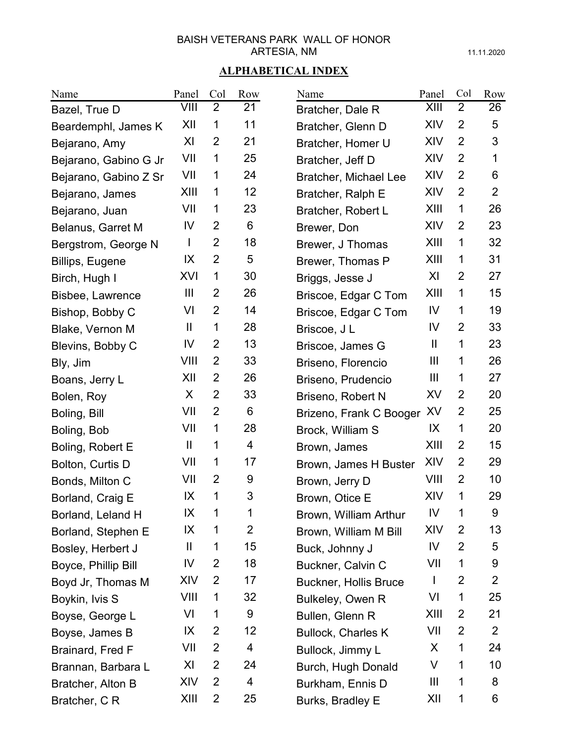11.11.2020

| Name                    | Panel                                             | Col            | Row            | Name                         | Panel          | Col            | Row            |
|-------------------------|---------------------------------------------------|----------------|----------------|------------------------------|----------------|----------------|----------------|
| Bazel, True D           | VIII                                              | $\overline{2}$ | 21             | Bratcher, Dale R             | XIII           | $\overline{2}$ | 26             |
| Beardemphl, James K     | XII                                               | 1              | 11             | Bratcher, Glenn D            | XIV            | 2              | 5              |
| Bejarano, Amy           | XI                                                | 2              | 21             | Bratcher, Homer U            | XIV            | $\overline{2}$ | 3              |
| Bejarano, Gabino G Jr   | VII                                               | 1              | 25             | Bratcher, Jeff D             | XIV            | $\overline{2}$ | 1              |
| Bejarano, Gabino Z Sr   | VII                                               | 1              | 24             | Bratcher, Michael Lee        | XIV            | $\overline{2}$ | 6              |
| Bejarano, James         | XIII                                              | 1              | 12             | Bratcher, Ralph E            | XIV            | $\overline{2}$ | $\overline{2}$ |
| Bejarano, Juan          | VII                                               | 1              | 23             | Bratcher, Robert L           | XIII           | 1              | 26             |
| Belanus, Garret M       | IV                                                | $\overline{2}$ | 6              | Brewer, Don                  | XIV            | $\overline{2}$ | 23             |
| Bergstrom, George N     | L                                                 | $\overline{2}$ | 18             | Brewer, J Thomas             | XIII           | 1              | 32             |
| Billips, Eugene         | IX                                                | $\overline{2}$ | 5              | Brewer, Thomas P             | XIII           | 1              | 31             |
| Birch, Hugh I           | XVI                                               | 1              | 30             | Briggs, Jesse J              | XI             | 2              | 27             |
| <b>Bisbee, Lawrence</b> | $\mathbf{III}$                                    | 2              | 26             | Briscoe, Edgar C Tom         | XIII           | 1              | 15             |
| Bishop, Bobby C         | VI                                                | 2              | 14             | Briscoe, Edgar C Tom         | IV             | 1              | 19             |
| Blake, Vernon M         | $\mathbf{I}$                                      | 1              | 28             | Briscoe, J L                 | IV             | 2              | 33             |
| Blevins, Bobby C        | IV                                                | 2              | 13             | Briscoe, James G             | $\mathbf{  }$  | 1              | 23             |
| Bly, Jim                | VIII                                              | 2              | 33             | Briseno, Florencio           | $\mathbf{III}$ | 1              | 26             |
| Boans, Jerry L          | XII                                               | $\overline{2}$ | 26             | Briseno, Prudencio           | $\mathbf{III}$ | 1              | 27             |
| Bolen, Roy              | X                                                 | $\overline{2}$ | 33             | Briseno, Robert N            | XV             | $\overline{2}$ | 20             |
| Boling, Bill            | VII                                               | $\overline{2}$ | 6              | Brizeno, Frank C Booger      | XV             | $\overline{2}$ | 25             |
| Boling, Bob             | VII                                               | 1              | 28             | Brock, William S             | IX             | 1              | 20             |
| Boling, Robert E        | $\mathbf{I}$                                      | 1              | 4              | Brown, James                 | XIII           | 2              | 15             |
| Bolton, Curtis D        | VII                                               | 1              | 17             | Brown, James H Buster        | XIV            | $\overline{2}$ | 29             |
| Bonds, Milton C         | VII                                               | 2              | 9              | Brown, Jerry D               | VIII           | 2              | 10             |
| Borland, Craig E        | IX                                                | 1              | 3              | Brown, Otice E               | XIV            | 1              | 29             |
| Borland, Leland H       | IX                                                | 1              | 1              | Brown, William Arthur        | IV             | 1              | 9              |
| Borland, Stephen E      | IX                                                | 1              | $\overline{2}$ | Brown, William M Bill        | XIV            | 2              | 13             |
| Bosley, Herbert J       | $\mathbf{\mathbf{\mathsf{I}}}\mathbf{\mathsf{I}}$ | 1              | 15             | Buck, Johnny J               | IV             | $\overline{2}$ | 5              |
| Boyce, Phillip Bill     | IV                                                | 2              | 18             | Buckner, Calvin C            | VII            | 1              | 9              |
| Boyd Jr, Thomas M       | XIV                                               | 2              | 17             | <b>Buckner, Hollis Bruce</b> | $\mathbf{I}$   | 2              | $\overline{2}$ |
| Boykin, Ivis S          | VIII                                              | 1              | 32             | Bulkeley, Owen R             | VI             | 1              | 25             |
| Boyse, George L         | VI                                                | 1              | 9              | Bullen, Glenn R              | XIII           | 2              | 21             |
| Boyse, James B          | IX                                                | 2              | 12             | <b>Bullock, Charles K</b>    | VII            | $\overline{2}$ | $\overline{2}$ |
| Brainard, Fred F        | VII                                               | 2              | 4              | Bullock, Jimmy L             | X              | 1              | 24             |
| Brannan, Barbara L      | XI                                                | 2              | 24             | Burch, Hugh Donald           | V              | 1              | 10             |
| Bratcher, Alton B       | XIV                                               | 2              | 4              | Burkham, Ennis D             | Ш              | 1              | 8              |
| Bratcher, C R           | XIII                                              | $\overline{2}$ | 25             | Burks, Bradley E             | XII            | 1              | 6              |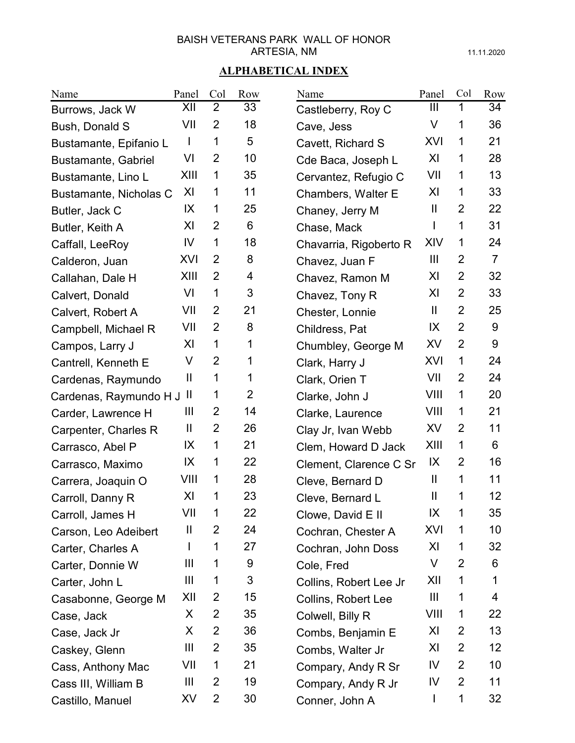11.11.2020

| Name                   | Panel         | Col            | Row            | Name                   | Panel                  | Col            | Row            |
|------------------------|---------------|----------------|----------------|------------------------|------------------------|----------------|----------------|
| Burrows, Jack W        | XII           | $\overline{2}$ | 33             | Castleberry, Roy C     | Ш                      | 1              | 34             |
| Bush, Donald S         | VII           | $\overline{2}$ | 18             | Cave, Jess             | V                      | 1              | 36             |
| Bustamante, Epifanio L | $\mathbf{I}$  | 1              | 5              | Cavett, Richard S      | XVI                    | 1              | 21             |
| Bustamante, Gabriel    | VI            | $\overline{2}$ | 10             | Cde Baca, Joseph L     | XI                     | 1              | 28             |
| Bustamante, Lino L     | XIII          | 1              | 35             | Cervantez, Refugio C   | VII                    | 1              | 13             |
| Bustamante, Nicholas C | XI            | 1              | 11             | Chambers, Walter E     | XI                     | 1              | 33             |
| Butler, Jack C         | IX            | 1              | 25             | Chaney, Jerry M        | Ш                      | $\overline{2}$ | 22             |
| Butler, Keith A        | XI            | 2              | 6              | Chase, Mack            | I                      | 1              | 31             |
| Caffall, LeeRoy        | IV            | 1              | 18             | Chavarria, Rigoberto R | XIV                    | 1              | 24             |
| Calderon, Juan         | XVI           | 2              | 8              | Chavez, Juan F         | Ш                      | $\overline{2}$ | $\overline{7}$ |
| Callahan, Dale H       | XIII          | $\overline{2}$ | 4              | Chavez, Ramon M        | XI                     | $\overline{2}$ | 32             |
| Calvert, Donald        | VI            | 1              | 3              | Chavez, Tony R         | XI                     | $\overline{2}$ | 33             |
| Calvert, Robert A      | VII           | 2              | 21             | Chester, Lonnie        | $\mathbf{H}$           | $\overline{2}$ | 25             |
| Campbell, Michael R    | VII           | 2              | 8              | Childress, Pat         | IX                     | $\overline{2}$ | 9              |
| Campos, Larry J        | XI            | 1              | 1              | Chumbley, George M     | XV                     | $\overline{2}$ | 9              |
| Cantrell, Kenneth E    | V             | $\overline{2}$ | 1              | Clark, Harry J         | XVI                    | 1              | 24             |
| Cardenas, Raymundo     | Ш             | 1              | 1              | Clark, Orien T         | VII                    | $\overline{2}$ | 24             |
| Cardenas, Raymundo H J | $\mathbf{  }$ | 1              | $\overline{2}$ | Clarke, John J         | VIII                   | 1              | 20             |
| Carder, Lawrence H     | Ш             | 2              | 14             | Clarke, Laurence       | VIII                   | 1              | 21             |
| Carpenter, Charles R   | Ш             | $\overline{2}$ | 26             | Clay Jr, Ivan Webb     | XV                     | $\overline{2}$ | 11             |
| Carrasco, Abel P       | IX            | 1              | 21             | Clem, Howard D Jack    | XIII                   | 1              | 6              |
| Carrasco, Maximo       | IX            | 1              | 22             | Clement, Clarence C Sr | IX                     | $\overline{2}$ | 16             |
| Carrera, Joaquin O     | VIII          | 1              | 28             | Cleve, Bernard D       | $\mathbf{\mathsf{II}}$ | 1              | 11             |
| Carroll, Danny R       | XI            | 1              | 23             | Cleve, Bernard L       | Ш                      | 1              | 12             |
| Carroll, James H       | VII           | 1              | 22             | Clowe, David E II      | IX                     | 1              | 35             |
| Carson, Leo Adeibert   | Ш             | 2              | 24             | Cochran, Chester A     | XVI                    | 1              | 10             |
| Carter, Charles A      |               | 1              | 27             | Cochran, John Doss     | XI                     | 1              | 32             |
| Carter, Donnie W       | Ш             | 1              | 9              | Cole, Fred             | V                      | 2              | 6              |
| Carter, John L         | Ш             | 1              | 3              | Collins, Robert Lee Jr | XII                    | 1              | 1              |
| Casabonne, George M    | XII           | 2              | 15             | Collins, Robert Lee    | Ш                      | 1              | 4              |
| Case, Jack             | X             | 2              | 35             | Colwell, Billy R       | VIII                   | 1              | 22             |
| Case, Jack Jr          | X             | 2              | 36             | Combs, Benjamin E      | XI                     | 2              | 13             |
| Caskey, Glenn          | Ш             | 2              | 35             | Combs, Walter Jr       | XI                     | 2              | 12             |
| Cass, Anthony Mac      | VII           | 1              | 21             | Compary, Andy R Sr     | IV                     | 2              | 10             |
| Cass III, William B    | Ш             | 2              | 19             | Compary, Andy R Jr     | IV                     | 2              | 11             |
| Castillo, Manuel       | XV            | 2              | 30             | Conner, John A         | L                      | 1              | 32             |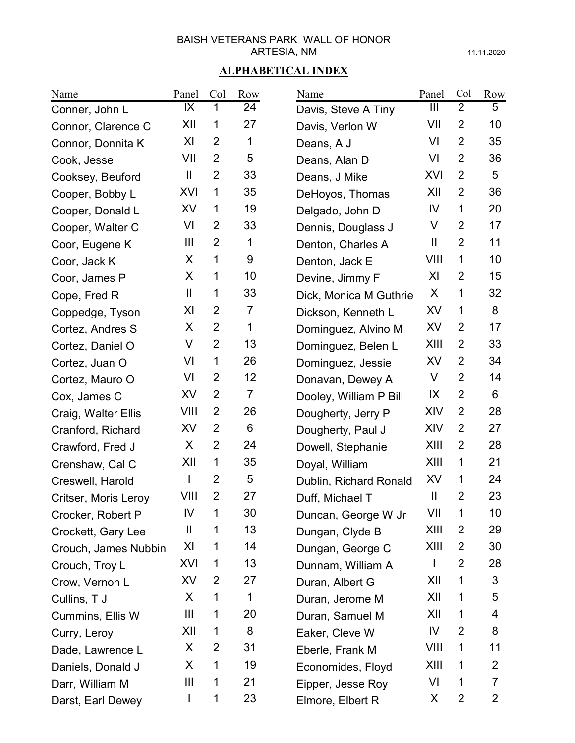11.11.2020

| Name                 | Panel                  | Col            | Row            | Name                   | Panel         | Col            | Row            |
|----------------------|------------------------|----------------|----------------|------------------------|---------------|----------------|----------------|
| Conner, John L       | IX                     | 1              | 24             | Davis, Steve A Tiny    | Ш             | $\overline{2}$ | 5              |
| Connor, Clarence C   | XII                    | 1              | 27             | Davis, Verlon W        | VII           | $\overline{2}$ | 10             |
| Connor, Donnita K    | XI                     | $\overline{2}$ | 1              | Deans, A J             | VI            | $\overline{2}$ | 35             |
| Cook, Jesse          | VII                    | $\overline{2}$ | 5              | Deans, Alan D          | VI            | $\overline{2}$ | 36             |
| Cooksey, Beuford     | $\mathbf{\mathsf{II}}$ | $\overline{2}$ | 33             | Deans, J Mike          | XVI           | $\overline{2}$ | 5              |
| Cooper, Bobby L      | XVI                    | 1              | 35             | DeHoyos, Thomas        | XII           | $\overline{2}$ | 36             |
| Cooper, Donald L     | <b>XV</b>              | 1              | 19             | Delgado, John D        | IV            | 1              | 20             |
| Cooper, Walter C     | VI                     | $\overline{2}$ | 33             | Dennis, Douglass J     | V             | $\overline{2}$ | 17             |
| Coor, Eugene K       | $\mathbf{III}$         | $\overline{2}$ | 1              | Denton, Charles A      | $\mathbf{  }$ | $\overline{2}$ | 11             |
| Coor, Jack K         | X                      | 1              | 9              | Denton, Jack E         | VIII          | 1              | 10             |
| Coor, James P        | X                      | 1              | 10             | Devine, Jimmy F        | XI            | 2              | 15             |
| Cope, Fred R         | $\mathbf{I}$           | 1              | 33             | Dick, Monica M Guthrie | X             | 1              | 32             |
| Coppedge, Tyson      | XI                     | $\overline{2}$ | 7              | Dickson, Kenneth L     | XV            | 1              | 8              |
| Cortez, Andres S     | X                      | $\overline{2}$ | 1              | Dominguez, Alvino M    | XV            | $\overline{2}$ | 17             |
| Cortez, Daniel O     | V                      | $\overline{2}$ | 13             | Dominguez, Belen L     | XIII          | $\overline{2}$ | 33             |
| Cortez, Juan O       | VI                     | 1              | 26             | Dominguez, Jessie      | XV            | $\overline{2}$ | 34             |
| Cortez, Mauro O      | VI                     | $\overline{2}$ | 12             | Donavan, Dewey A       | V             | $\overline{2}$ | 14             |
| Cox, James C         | XV                     | $\overline{2}$ | $\overline{7}$ | Dooley, William P Bill | $\mathsf{IX}$ | $\overline{2}$ | 6              |
| Craig, Walter Ellis  | VIII                   | $\overline{2}$ | 26             | Dougherty, Jerry P     | XIV           | $\overline{2}$ | 28             |
| Cranford, Richard    | XV                     | $\overline{2}$ | 6              | Dougherty, Paul J      | XIV           | $\overline{2}$ | 27             |
| Crawford, Fred J     | X                      | $\overline{2}$ | 24             | Dowell, Stephanie      | XIII          | $\overline{2}$ | 28             |
| Crenshaw, Cal C      | XII                    | 1              | 35             | Doyal, William         | XIII          | 1              | 21             |
| Creswell, Harold     | L                      | $\overline{2}$ | 5              | Dublin, Richard Ronald | XV            | 1              | 24             |
| Critser, Moris Leroy | VIII                   | $\overline{2}$ | 27             | Duff, Michael T        | $\mathbf{I}$  | $\overline{2}$ | 23             |
| Crocker, Robert P    | IV                     | 1              | 30             | Duncan, George W Jr    | VII           | 1              | 10             |
| Crockett, Gary Lee   | $\mathbf{  }$          | 1              | 13             | Dungan, Clyde B        | XIII          | 2              | 29             |
| Crouch, James Nubbin | XI                     | 1              | 14             | Dungan, George C       | XIII          | 2              | 30             |
| Crouch, Troy L       | XVI                    | 1              | 13             | Dunnam, William A      |               | $\overline{2}$ | 28             |
| Crow, Vernon L       | XV                     | 2              | 27             | Duran, Albert G        | XII           | 1              | 3              |
| Cullins, T J         | X                      | 1              | 1              | Duran, Jerome M        | XII           | 1              | 5              |
| Cummins, Ellis W     | Ш                      | 1              | 20             | Duran, Samuel M        | XII           | 1              | 4              |
| Curry, Leroy         | XII                    | 1              | 8              | Eaker, Cleve W         | IV            | 2              | 8              |
| Dade, Lawrence L     | X                      | 2              | 31             | Eberle, Frank M        | VIII          | 1              | 11             |
| Daniels, Donald J    | X                      | 1              | 19             | Economides, Floyd      | XIII          | 1              | $\mathbf{2}$   |
| Darr, William M      | Ш                      | 1              | 21             | Eipper, Jesse Roy      | VI            | 1              | $\overline{7}$ |
| Darst, Earl Dewey    | L                      | 1              | 23             | Elmore, Elbert R       | X             | 2              | $\overline{2}$ |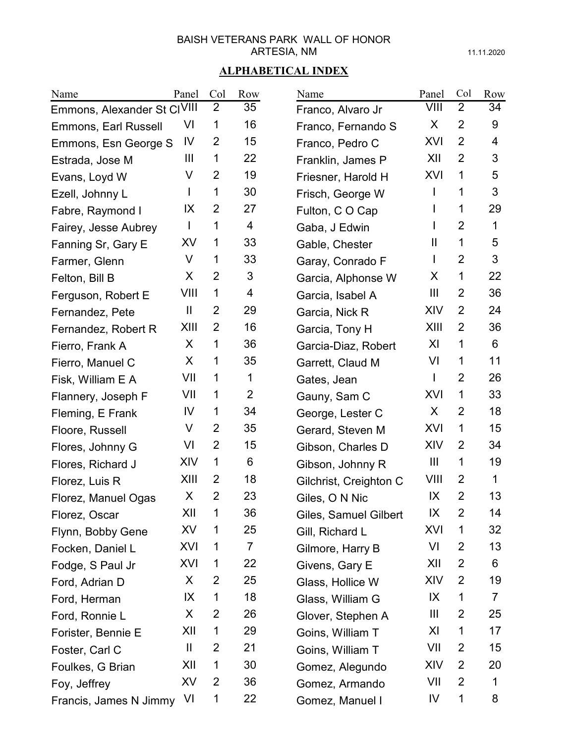11.11.2020

| Name                        | Panel          | Col            | Row            | Name                   | Panel          | Col            | Row |
|-----------------------------|----------------|----------------|----------------|------------------------|----------------|----------------|-----|
| Emmons, Alexander St CIVIII |                | $\overline{2}$ | 35             | Franco, Alvaro Jr      | VIII           | $\overline{2}$ | 34  |
| Emmons, Earl Russell        | VI             | 1              | 16             | Franco, Fernando S     | X              | $\overline{2}$ | 9   |
| Emmons, Esn George S        | IV             | 2              | 15             | Franco, Pedro C        | XVI            | 2              | 4   |
| Estrada, Jose M             | $\mathbf{III}$ | 1              | 22             | Franklin, James P      | XII            | $\overline{2}$ | 3   |
| Evans, Loyd W               | V              | $\overline{2}$ | 19             | Friesner, Harold H     | XVI            | 1              | 5   |
| Ezell, Johnny L             | L              | 1              | 30             | Frisch, George W       | I              | 1              | 3   |
| Fabre, Raymond I            | IX             | 2              | 27             | Fulton, CO Cap         | I              | 1              | 29  |
| Fairey, Jesse Aubrey        | $\mathbf{I}$   | 1              | 4              | Gaba, J Edwin          | I              | $\overline{2}$ | 1   |
| Fanning Sr, Gary E          | XV             | 1              | 33             | Gable, Chester         | Ш              | 1              | 5   |
| Farmer, Glenn               | V              | 1              | 33             | Garay, Conrado F       | L              | $\overline{2}$ | 3   |
| Felton, Bill B              | X              | $\overline{2}$ | 3              | Garcia, Alphonse W     | X              | 1              | 22  |
| Ferguson, Robert E          | VIII           | 1              | 4              | Garcia, Isabel A       | Ш              | $\overline{2}$ | 36  |
| Fernandez, Pete             | Ш              | $\overline{2}$ | 29             | Garcia, Nick R         | XIV            | $\overline{2}$ | 24  |
| Fernandez, Robert R         | XIII           | $\overline{2}$ | 16             | Garcia, Tony H         | XIII           | $\overline{2}$ | 36  |
| Fierro, Frank A             | X              | 1              | 36             | Garcia-Diaz, Robert    | XI             | 1              | 6   |
| Fierro, Manuel C            | X              | 1              | 35             | Garrett, Claud M       | VI             | 1              | 11  |
| Fisk, William E A           | VII            | 1              | 1              | Gates, Jean            | T              | $\overline{2}$ | 26  |
| Flannery, Joseph F          | VII            | 1              | $\overline{2}$ | Gauny, Sam C           | XVI            | 1              | 33  |
| Fleming, E Frank            | IV             | 1              | 34             | George, Lester C       | X              | $\overline{2}$ | 18  |
| Floore, Russell             | V              | $\overline{2}$ | 35             | Gerard, Steven M       | XVI            | 1              | 15  |
| Flores, Johnny G            | VI             | $\overline{2}$ | 15             | Gibson, Charles D      | XIV            | 2              | 34  |
| Flores, Richard J           | XIV            | 1              | 6              | Gibson, Johnny R       | $\mathbf{III}$ | 1              | 19  |
| Florez, Luis R              | XIII           | 2              | 18             | Gilchrist, Creighton C | VIII           | 2              | 1   |
| Florez, Manuel Ogas         | X              | $\overline{2}$ | 23             | Giles, O N Nic         | IX             | $\overline{2}$ | 13  |
| Florez, Oscar               | XII            | 1              | 36             | Giles, Samuel Gilbert  | IX             | $\overline{2}$ | 14  |
| Flynn, Bobby Gene           | XV             | 1              | 25             | Gill, Richard L        | XVI            | 1              | 32  |
| Focken, Daniel L            | XVI            | 1              | $\overline{7}$ | Gilmore, Harry B       | VI             | 2              | 13  |
| Fodge, S Paul Jr            | XVI            | 1              | 22             | Givens, Gary E         | XII            | $\overline{2}$ | 6   |
| Ford, Adrian D              | X              | 2              | 25             | Glass, Hollice W       | XIV            | $\overline{2}$ | 19  |
| Ford, Herman                | IX             | 1              | 18             | Glass, William G       | IX             | 1              | 7   |
| Ford, Ronnie L              | X              | $\overline{2}$ | 26             | Glover, Stephen A      | Ш              | 2              | 25  |
| Forister, Bennie E          | XII            | 1              | 29             | Goins, William T       | XI             | 1              | 17  |
| Foster, Carl C              | Ш              | $\overline{2}$ | 21             | Goins, William T       | VII            | $\overline{2}$ | 15  |
| Foulkes, G Brian            | XII            | 1              | 30             | Gomez, Alegundo        | XIV            | 2              | 20  |
| Foy, Jeffrey                | XV             | $\overline{2}$ | 36             | Gomez, Armando         | VII            | $\overline{2}$ | 1   |
| Francis, James N Jimmy      | VI             | 1              | 22             | Gomez, Manuel I        | IV             | 1              | 8   |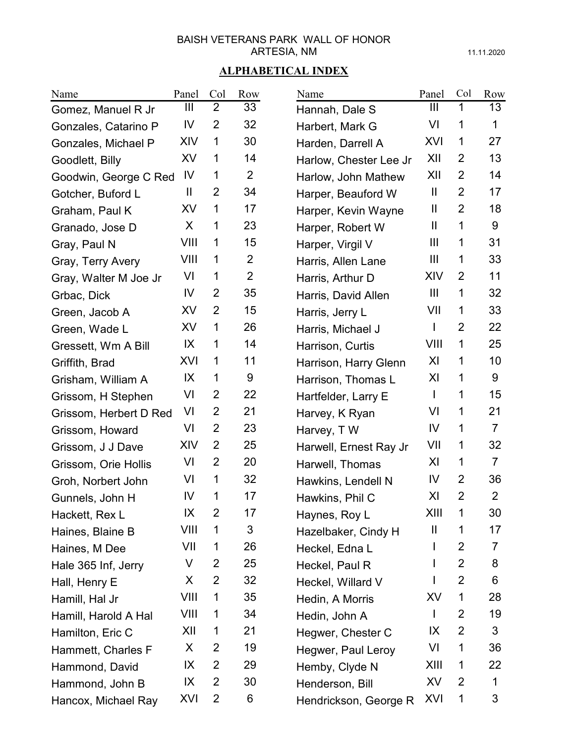11.11.2020

| Name                   | Panel          | Col            | Row            | Name                   | Panel          | Col            | Row            |
|------------------------|----------------|----------------|----------------|------------------------|----------------|----------------|----------------|
| Gomez, Manuel R Jr     | $\mathbf{III}$ | $\overline{2}$ | 33             | Hannah, Dale S         | Ш              | 1              | 13             |
| Gonzales, Catarino P   | IV             | $\overline{2}$ | 32             | Harbert, Mark G        | VI             | 1              | 1              |
| Gonzales, Michael P    | XIV            | 1              | 30             | Harden, Darrell A      | XVI            | 1              | 27             |
| Goodlett, Billy        | XV             | 1              | 14             | Harlow, Chester Lee Jr | XII            | $\overline{2}$ | 13             |
| Goodwin, George C Red  | IV             | 1              | $\overline{2}$ | Harlow, John Mathew    | XII            | 2              | 14             |
| Gotcher, Buford L      | $\mathbf{  }$  | $\overline{2}$ | 34             | Harper, Beauford W     | $\mathbf{  }$  | $\overline{2}$ | 17             |
| Graham, Paul K         | XV             | 1              | 17             | Harper, Kevin Wayne    | Ш              | $\overline{2}$ | 18             |
| Granado, Jose D        | X              | 1              | 23             | Harper, Robert W       | $\mathbf{  }$  | 1              | 9              |
| Gray, Paul N           | VIII           | 1              | 15             | Harper, Virgil V       | Ш              | 1              | 31             |
| Gray, Terry Avery      | VIII           | 1              | $\overline{2}$ | Harris, Allen Lane     | Ш              | 1              | 33             |
| Gray, Walter M Joe Jr  | VI             | 1              | $\overline{2}$ | Harris, Arthur D       | XIV            | $\overline{2}$ | 11             |
| Grbac, Dick            | IV             | $\overline{2}$ | 35             | Harris, David Allen    | $\mathbf{III}$ | 1              | 32             |
| Green, Jacob A         | XV             | $\overline{2}$ | 15             | Harris, Jerry L        | VII            | 1              | 33             |
| Green, Wade L          | XV             | 1              | 26             | Harris, Michael J      | $\mathbf{I}$   | $\overline{2}$ | 22             |
| Gressett, Wm A Bill    | IX             | 1              | 14             | Harrison, Curtis       | VIII           | 1              | 25             |
| Griffith, Brad         | XVI            | 1              | 11             | Harrison, Harry Glenn  | XI             | 1              | 10             |
| Grisham, William A     | IX             | 1              | 9              | Harrison, Thomas L     | XI             | 1              | 9              |
| Grissom, H Stephen     | VI             | $\overline{2}$ | 22             | Hartfelder, Larry E    | L              | 1              | 15             |
| Grissom, Herbert D Red | VI             | $\overline{2}$ | 21             | Harvey, K Ryan         | VI             | 1              | 21             |
| Grissom, Howard        | VI             | $\overline{2}$ | 23             | Harvey, TW             | IV             | 1              | $\overline{7}$ |
| Grissom, J J Dave      | XIV            | $\overline{2}$ | 25             | Harwell, Ernest Ray Jr | VII            | 1              | 32             |
| Grissom, Orie Hollis   | VI             | $\overline{2}$ | 20             | Harwell, Thomas        | XI             | 1              | $\overline{7}$ |
| Groh, Norbert John     | VI             | 1              | 32             | Hawkins, Lendell N     | IV             | $\overline{2}$ | 36             |
| Gunnels, John H        | IV             | 1              | 17             | Hawkins, Phil C        | XI             | $\overline{2}$ | $\overline{2}$ |
| Hackett, Rex L         | IX             | 2              | 17             | Haynes, Roy L          | XIII           | 1              | 30             |
| Haines, Blaine B       | VIII           | 1              | 3              | Hazelbaker, Cindy H    | Ш              | 1              | 17             |
| Haines, M Dee          | VII            | 1              | 26             | Heckel, Edna L         |                | 2              | 7              |
| Hale 365 Inf, Jerry    | V              | 2              | 25             | Heckel, Paul R         |                | 2              | 8              |
| Hall, Henry E          | X              | 2              | 32             | Heckel, Willard V      |                | 2              | 6              |
| Hamill, Hal Jr         | VIII           | 1              | 35             | Hedin, A Morris        | XV             | 1              | 28             |
| Hamill, Harold A Hal   | VIII           | 1              | 34             | Hedin, John A          | $\mathbf{I}$   | 2              | 19             |
| Hamilton, Eric C       | XII            | 1              | 21             | Hegwer, Chester C      | IX             | 2              | 3              |
| Hammett, Charles F     | X              | 2              | 19             | Hegwer, Paul Leroy     | VI             | 1              | 36             |
| Hammond, David         | IX             | 2              | 29             | Hemby, Clyde N         | XIII           | 1              | 22             |
| Hammond, John B        | IX             | $\overline{2}$ | 30             | Henderson, Bill        | XV             | 2              | 1              |
| Hancox, Michael Ray    | XVI            | $\overline{2}$ | 6              | Hendrickson, George R  | XVI            | 1              | 3              |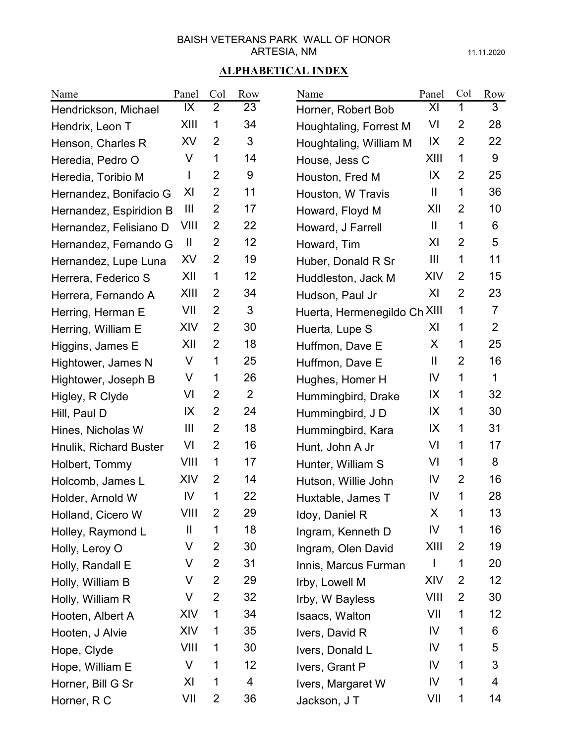11.11.2020

| Name                    | Panel          | Col            | Row | Name                         | Panel          | Col            | Row            |
|-------------------------|----------------|----------------|-----|------------------------------|----------------|----------------|----------------|
| Hendrickson, Michael    | IX             | $\overline{2}$ | 23  | Horner, Robert Bob           | XI             | 1              | 3              |
| Hendrix, Leon T         | XIII           | 1              | 34  | Houghtaling, Forrest M       | VI             | $\overline{2}$ | 28             |
| Henson, Charles R       | XV             | $\overline{2}$ | 3   | Houghtaling, William M       | IX             | $\overline{2}$ | 22             |
| Heredia, Pedro O        | V              | 1              | 14  | House, Jess C                | XIII           | 1              | 9              |
| Heredia, Toribio M      |                | $\overline{2}$ | 9   | Houston, Fred M              | IX             | 2              | 25             |
| Hernandez, Bonifacio G  | XI             | $\overline{2}$ | 11  | Houston, W Travis            | $\mathbf{I}$   | 1              | 36             |
| Hernandez, Espiridion B | $\mathbf{III}$ | $\overline{2}$ | 17  | Howard, Floyd M              | XII            | 2              | 10             |
| Hernandez, Felisiano D  | VIII           | $\overline{2}$ | 22  | Howard, J Farrell            | $\mathbf{I}$   | 1              | 6              |
| Hernandez, Fernando G   | $\mathbf{  }$  | $\overline{2}$ | 12  | Howard, Tim                  | XI             | $\overline{2}$ | 5              |
| Hernandez, Lupe Luna    | XV             | $\overline{2}$ | 19  | Huber, Donald R Sr           | $\mathbf{III}$ | 1              | 11             |
| Herrera, Federico S     | XII            | 1              | 12  | Huddleston, Jack M           | XIV            | 2              | 15             |
| Herrera, Fernando A     | XIII           | 2              | 34  | Hudson, Paul Jr              | XI             | $\overline{2}$ | 23             |
| Herring, Herman E       | VII            | $\overline{2}$ | 3   | Huerta, Hermenegildo Ch XIII |                | 1              | $\overline{7}$ |
| Herring, William E      | XIV            | $\overline{2}$ | 30  | Huerta, Lupe S               | XI             | 1              | $\overline{2}$ |
| Higgins, James E        | XII            | $\overline{2}$ | 18  | Huffmon, Dave E              | X              | 1              | 25             |
| Hightower, James N      | V              | 1              | 25  | Huffmon, Dave E              | $\mathbf{  }$  | $\overline{2}$ | 16             |
| Hightower, Joseph B     | V              | 1              | 26  | Hughes, Homer H              | IV             | 1              | 1              |
| Higley, R Clyde         | VI             | $\overline{2}$ | 2   | Hummingbird, Drake           | IX             | 1              | 32             |
| Hill, Paul D            | IX             | $\overline{2}$ | 24  | Hummingbird, JD              | IX             | 1              | 30             |
| Hines, Nicholas W       | $\mathbf{III}$ | $\overline{2}$ | 18  | Hummingbird, Kara            | IX             | 1              | 31             |
| Hnulik, Richard Buster  | VI             | $\overline{2}$ | 16  | Hunt, John A Jr              | VI             | 1              | 17             |
| Holbert, Tommy          | VIII           | 1              | 17  | Hunter, William S            | VI             | 1              | 8              |
| Holcomb, James L        | XIV            | 2              | 14  | Hutson, Willie John          | IV             | $\overline{2}$ | 16             |
| Holder, Arnold W        | IV             | 1              | 22  | Huxtable, James T            | IV             | 1              | 28             |
| Holland, Cicero W       | VIII           | $\overline{2}$ | 29  | Idoy, Daniel R               | X              | 1              | 13             |
| Holley, Raymond L       | $\mathbf{I}$   | 1              | 18  | Ingram, Kenneth D            | IV             | 1              | 16             |
| Holly, Leroy O          | V              | 2              | 30  | Ingram, Olen David           | XIII           | 2              | 19             |
| Holly, Randall E        | V              | 2              | 31  | Innis, Marcus Furman         |                | 1              | 20             |
| Holly, William B        | V              | $\overline{2}$ | 29  | Irby, Lowell M               | XIV            | 2              | 12             |
| Holly, William R        | V              | $\overline{2}$ | 32  | Irby, W Bayless              | VIII           | 2              | 30             |
| Hooten, Albert A        | XIV            | 1              | 34  | Isaacs, Walton               | VII            | 1              | 12             |
| Hooten, J Alvie         | XIV            | 1              | 35  | Ivers, David R               | IV             | 1              | 6              |
| Hope, Clyde             | VIII           | 1              | 30  | Ivers, Donald L              | IV             | 1              | 5              |
| Hope, William E         | V              | 1              | 12  | Ivers, Grant P               | IV             | 1              | 3              |
| Horner, Bill G Sr       | XI             | 1              | 4   | Ivers, Margaret W            | IV             | 1              | 4              |
| Horner, R C             | VII            | $\overline{2}$ | 36  | Jackson, J T                 | VII            | 1              | 14             |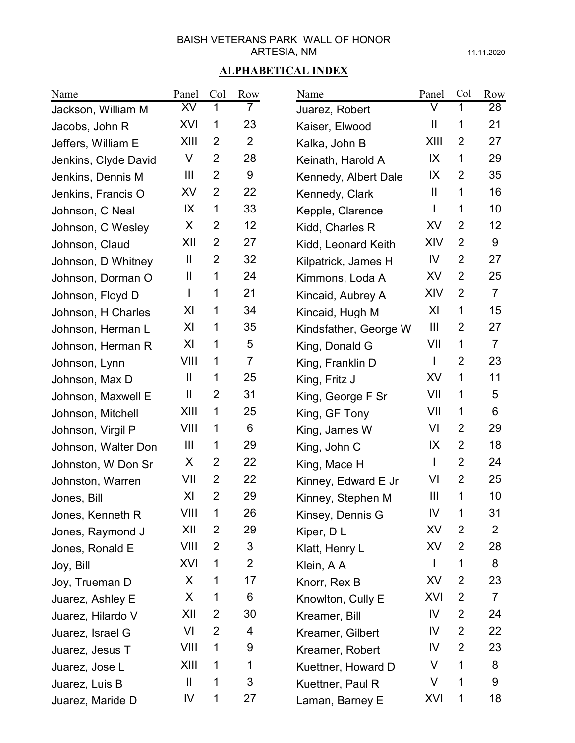11.11.2020

| Name                 | Panel                  | Col            | Row            | Name                  | Panel                 | Col            | Row            |
|----------------------|------------------------|----------------|----------------|-----------------------|-----------------------|----------------|----------------|
| Jackson, William M   | XV                     | 1              | 7              | Juarez, Robert        | V                     | 1              | 28             |
| Jacobs, John R       | XVI                    | 1              | 23             | Kaiser, Elwood        | $\mathbf{\mathsf{I}}$ | 1              | 21             |
| Jeffers, William E   | XIII                   | 2              | $\overline{2}$ | Kalka, John B         | XIII                  | 2              | 27             |
| Jenkins, Clyde David | V                      | $\overline{2}$ | 28             | Keinath, Harold A     | IX                    | 1              | 29             |
| Jenkins, Dennis M    | $\mathbf{III}$         | $\overline{2}$ | 9              | Kennedy, Albert Dale  | IX                    | 2              | 35             |
| Jenkins, Francis O   | XV                     | $\overline{2}$ | 22             | Kennedy, Clark        | $\mathbf{  }$         | 1              | 16             |
| Johnson, C Neal      | IX                     | 1              | 33             | Kepple, Clarence      |                       | 1              | 10             |
| Johnson, C Wesley    | X                      | $\overline{2}$ | 12             | Kidd, Charles R       | <b>XV</b>             | $\overline{2}$ | 12             |
| Johnson, Claud       | XII                    | $\overline{2}$ | 27             | Kidd, Leonard Keith   | XIV                   | $\overline{2}$ | 9              |
| Johnson, D Whitney   | Ш                      | $\overline{2}$ | 32             | Kilpatrick, James H   | IV                    | $\overline{2}$ | 27             |
| Johnson, Dorman O    | Ш                      | 1              | 24             | Kimmons, Loda A       | XV                    | $\overline{2}$ | 25             |
| Johnson, Floyd D     |                        | 1              | 21             | Kincaid, Aubrey A     | XIV                   | $\overline{2}$ | $\overline{7}$ |
| Johnson, H Charles   | XI                     | 1              | 34             | Kincaid, Hugh M       | XI                    | 1              | 15             |
| Johnson, Herman L    | XI                     | 1              | 35             | Kindsfather, George W | $\mathbf{III}$        | $\overline{2}$ | 27             |
| Johnson, Herman R    | XI                     | 1              | 5              | King, Donald G        | VII                   | 1              | $\overline{7}$ |
| Johnson, Lynn        | VIII                   | 1              | $\overline{7}$ | King, Franklin D      | L                     | 2              | 23             |
| Johnson, Max D       | Ш                      | 1              | 25             | King, Fritz J         | <b>XV</b>             | 1              | 11             |
| Johnson, Maxwell E   | $\mathbf{\mathsf{II}}$ | $\overline{2}$ | 31             | King, George F Sr     | VII                   | 1              | 5              |
| Johnson, Mitchell    | XIII                   | 1              | 25             | King, GF Tony         | VII                   | 1              | 6              |
| Johnson, Virgil P    | VIII                   | 1              | 6              | King, James W         | VI                    | 2              | 29             |
| Johnson, Walter Don  | $\mathbf{III}$         | 1              | 29             | King, John C          | IX                    | 2              | 18             |
| Johnston, W Don Sr   | X                      | 2              | 22             | King, Mace H          | L                     | $\overline{2}$ | 24             |
| Johnston, Warren     | VII                    | 2              | 22             | Kinney, Edward E Jr   | VI                    | $\overline{2}$ | 25             |
| Jones, Bill          | XI                     | $\overline{2}$ | 29             | Kinney, Stephen M     | $\mathbf{III}$        | 1              | 10             |
| Jones, Kenneth R     | VIII                   | 1              | 26             | Kinsey, Dennis G      | IV                    | 1              | 31             |
| Jones, Raymond J     | XII                    | 2              | 29             | Kiper, DL             | XV                    | $\overline{2}$ | $\overline{2}$ |
| Jones, Ronald E      | VIII                   | 2              | 3              | Klatt, Henry L        | XV                    | 2              | 28             |
| Joy, Bill            | XVI                    | 1              | $\overline{2}$ | Klein, A A            |                       | 1              | 8              |
| Joy, Trueman D       | X                      | 1              | 17             | Knorr, Rex B          | XV                    | $\overline{2}$ | 23             |
| Juarez, Ashley E     | X                      | 1              | 6              | Knowlton, Cully E     | XVI                   | 2              | $\overline{7}$ |
| Juarez, Hilardo V    | XII                    | 2              | 30             | Kreamer, Bill         | IV                    | 2              | 24             |
| Juarez, Israel G     | VI                     | 2              | 4              | Kreamer, Gilbert      | IV                    | 2              | 22             |
| Juarez, Jesus T      | VIII                   | 1              | 9              | Kreamer, Robert       | IV                    | 2              | 23             |
| Juarez, Jose L       | XIII                   | 1              | 1              | Kuettner, Howard D    | V                     | 1              | 8              |
| Juarez, Luis B       | $\mathbf{\mathsf{II}}$ | 1              | 3              | Kuettner, Paul R      | V                     | 1              | 9              |
| Juarez, Maride D     | IV                     | 1              | 27             | Laman, Barney E       | XVI                   | 1              | 18             |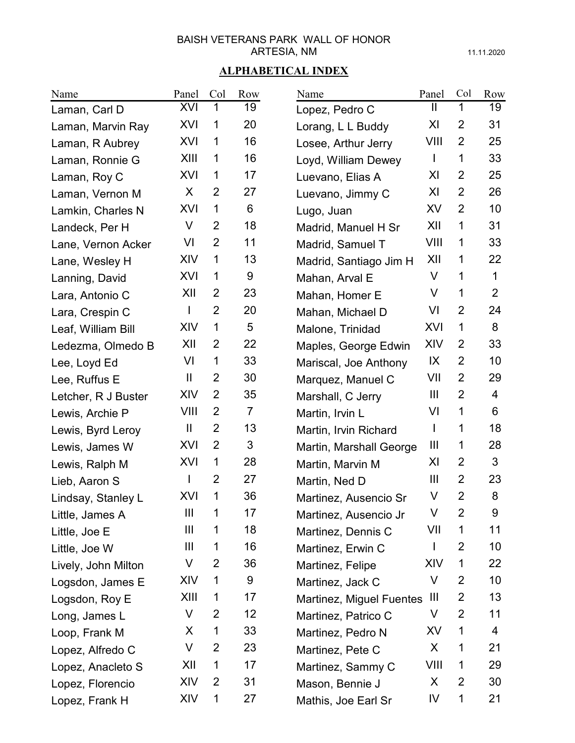11.11.2020

| Name                | Panel               | Col            | Row            | Name                     | Panel          | Col            | Row            |
|---------------------|---------------------|----------------|----------------|--------------------------|----------------|----------------|----------------|
| Laman, Carl D       | XVI                 | $\mathbf{1}$   | 19             | Lopez, Pedro C           | Ш              | 1              | 19             |
| Laman, Marvin Ray   | XVI                 | 1              | 20             | Lorang, L L Buddy        | XI             | $\overline{2}$ | 31             |
| Laman, R Aubrey     | XVI                 | 1              | 16             | Losee, Arthur Jerry      | VIII           | 2              | 25             |
| Laman, Ronnie G     | XIII                | 1              | 16             | Loyd, William Dewey      | $\mathbf{I}$   | 1              | 33             |
| Laman, Roy C        | XVI                 | 1              | 17             | Luevano, Elias A         | XI             | 2              | 25             |
| Laman, Vernon M     | X                   | $\overline{2}$ | 27             | Luevano, Jimmy C         | XI             | $\overline{2}$ | 26             |
| Lamkin, Charles N   | XVI                 | 1              | 6              | Lugo, Juan               | XV             | 2              | 10             |
| Landeck, Per H      | V                   | $\overline{2}$ | 18             | Madrid, Manuel H Sr      | XII            | 1              | 31             |
| Lane, Vernon Acker  | VI                  | $\overline{2}$ | 11             | Madrid, Samuel T         | VIII           | 1              | 33             |
| Lane, Wesley H      | XIV                 | 1              | 13             | Madrid, Santiago Jim H   | XII            | 1              | 22             |
| Lanning, David      | XVI                 | 1              | 9              | Mahan, Arval E           | V              | 1              | $\mathbf 1$    |
| Lara, Antonio C     | XII                 | $\overline{2}$ | 23             | Mahan, Homer E           | V              | 1              | $\overline{2}$ |
| Lara, Crespin C     | $\mathsf{I}$        | $\overline{2}$ | 20             | Mahan, Michael D         | VI             | $\overline{2}$ | 24             |
| Leaf, William Bill  | XIV                 | 1              | 5              | Malone, Trinidad         | XVI            | 1              | 8              |
| Ledezma, Olmedo B   | XII                 | $\overline{2}$ | 22             | Maples, George Edwin     | XIV            | 2              | 33             |
| Lee, Loyd Ed        | VI                  | 1              | 33             | Mariscal, Joe Anthony    | IX             | $\overline{2}$ | 10             |
| Lee, Ruffus E       | $\mathbf{  }$       | $\overline{2}$ | 30             | Marquez, Manuel C        | VII            | $\overline{2}$ | 29             |
| Letcher, R J Buster | XIV                 | $\overline{2}$ | 35             | Marshall, C Jerry        | $\mathbf{III}$ | $\overline{2}$ | $\overline{4}$ |
| Lewis, Archie P     | VIII                | $\overline{2}$ | $\overline{7}$ | Martin, Irvin L          | VI             | 1              | 6              |
| Lewis, Byrd Leroy   | $\mathbf \mathsf I$ | $\overline{2}$ | 13             | Martin, Irvin Richard    | $\mathbf{I}$   | 1              | 18             |
| Lewis, James W      | XVI                 | $\overline{2}$ | 3              | Martin, Marshall George  | Ш              | 1              | 28             |
| Lewis, Ralph M      | XVI                 | 1              | 28             | Martin, Marvin M         | XI             | $\overline{2}$ | 3              |
| Lieb, Aaron S       | $\mathbf{I}$        | $\overline{2}$ | 27             | Martin, Ned D            | $\mathbf{III}$ | 2              | 23             |
| Lindsay, Stanley L  | XVI                 | 1              | 36             | Martinez, Ausencio Sr    | V              | $\overline{2}$ | 8              |
| Little, James A     | III                 | 1              | 17             | Martinez, Ausencio Jr    | V              | $\overline{2}$ | 9              |
| Little, Joe E       | Ш                   | 1              | 18             | Martinez, Dennis C       | VII            | 1              | 11             |
| Little, Joe W       | Ш                   | 1              | 16             | Martinez, Erwin C        | T              | $\overline{2}$ | 10             |
| Lively, John Milton | V                   | 2              | 36             | Martinez, Felipe         | XIV            | 1              | 22             |
| Logsdon, James E    | XIV                 | 1              | 9              | Martinez, Jack C         | V              | $\overline{2}$ | 10             |
| Logsdon, Roy E      | XIII                | 1              | 17             | Martinez, Miguel Fuentes | Ш              | 2              | 13             |
| Long, James L       | V                   | $\overline{2}$ | 12             | Martinez, Patrico C      | V              | $\overline{2}$ | 11             |
| Loop, Frank M       | X                   | 1              | 33             | Martinez, Pedro N        | XV             | 1              | 4              |
| Lopez, Alfredo C    | V                   | $\overline{2}$ | 23             | Martinez, Pete C         | X              | 1              | 21             |
| Lopez, Anacleto S   | XII                 | 1              | 17             | Martinez, Sammy C        | VIII           | 1              | 29             |
| Lopez, Florencio    | XIV                 | 2              | 31             | Mason, Bennie J          | X              | 2              | 30             |
| Lopez, Frank H      | XIV                 | 1              | 27             | Mathis, Joe Earl Sr      | IV             | 1              | 21             |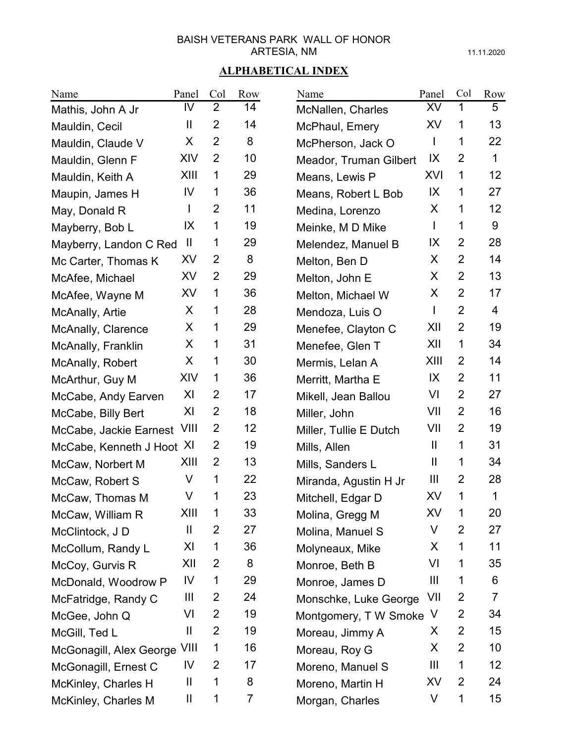11.11.2020

| Name                         | Panel     | Col            | Row | Name                          | Panel                  | Col            | Row    |
|------------------------------|-----------|----------------|-----|-------------------------------|------------------------|----------------|--------|
| Mathis, John A Jr            | IV        | $\overline{2}$ | 14  | McNallen, Charles             | XV                     | 1              | 5      |
| Mauldin, Cecil               | Ш         | $\overline{2}$ | 14  | McPhaul, Emery                | XV                     | 1              | 13     |
| Mauldin, Claude V            | X         | $\overline{2}$ | 8   | McPherson, Jack O             |                        | 1              | 22     |
| Mauldin, Glenn F             | XIV       | $\overline{2}$ | 10  | <b>Meador, Truman Gilbert</b> | IX                     | $\overline{2}$ | 1      |
| Mauldin, Keith A             | XIII      | 1              | 29  | Means, Lewis P                | XVI                    | 1              | 12     |
| Maupin, James H              | IV        | 1              | 36  | Means, Robert L Bob           | IX                     | 1              | 27     |
| May, Donald R                | L         | $\overline{2}$ | 11  | Medina, Lorenzo               | X                      | 1              | 12     |
| Mayberry, Bob L              | IX        | 1              | 19  | Meinke, M D Mike              | L                      | 1              | 9      |
| Mayberry, Landon C Red       | H         | 1              | 29  | Melendez, Manuel B            | IX                     | $\overline{2}$ | 28     |
| Mc Carter, Thomas K          | XV        | $\overline{2}$ | 8   | Melton, Ben D                 | X                      | $\overline{2}$ | 14     |
| McAfee, Michael              | XV        | $\overline{2}$ | 29  | Melton, John E                | X                      | $\overline{2}$ | 13     |
| McAfee, Wayne M              | <b>XV</b> | $\mathbf 1$    | 36  | Melton, Michael W             | X                      | $\overline{2}$ | 17     |
| McAnally, Artie              | X         | 1              | 28  | Mendoza, Luis O               | L                      | $\overline{2}$ | 4      |
| McAnally, Clarence           | X         | 1              | 29  | Menefee, Clayton C            | XII                    | $\overline{2}$ | 19     |
| McAnally, Franklin           | X         | 1              | 31  | Menefee, Glen T               | XII                    | 1              | 34     |
| McAnally, Robert             | X         | 1              | 30  | Mermis, Lelan A               | XIII                   | 2              | 14     |
| McArthur, Guy M              | XIV       | 1              | 36  | Merritt, Martha E             | IX                     | $\overline{2}$ | 11     |
| McCabe, Andy Earven          | XI        | $\overline{2}$ | 17  | Mikell, Jean Ballou           | VI                     | $\overline{2}$ | 27     |
| McCabe, Billy Bert           | XI        | $\overline{2}$ | 18  | Miller, John                  | VII                    | $\overline{2}$ | 16     |
| McCabe, Jackie Earnest       | VIII      | $\overline{2}$ | 12  | Miller, Tullie E Dutch        | VII                    | $\overline{2}$ | 19     |
| McCabe, Kenneth J Hoot XI    |           | $\overline{2}$ | 19  | Mills, Allen                  | $\mathbf{H}$           | 1              | 31     |
| McCaw, Norbert M             | XIII      | $\overline{2}$ | 13  | Mills, Sanders L              | $\mathbf{\mathsf{II}}$ | 1              | 34     |
| McCaw, Robert S              | V         | 1              | 22  | Miranda, Agustin H Jr         | Ш                      | $\overline{2}$ | 28     |
| McCaw, Thomas M              | V         | 1              | 23  | Mitchell, Edgar D             | XV                     | 1              | 1      |
| McCaw, William R             | XIII      | 1              | 33  | Molina, Gregg M               | XV                     | 1              | 20     |
| McClintock, J D              | Ш         | 2              | 27  | Molina, Manuel S              | V                      | 2              | 27     |
| McCollum, Randy L            | XI        | $\mathbf 1$    | 36  | Molyneaux, Mike               | X                      | 1              | 11     |
| McCoy, Gurvis R              | XII       | 2              | 8   | Monroe, Beth B                | VI                     | 1              | 35     |
| McDonald, Woodrow P          | IV        | $\mathbf 1$    | 29  | Monroe, James D               | Ш                      | 1              | 6      |
| McFatridge, Randy C          | Ш         | 2              | 24  | Monschke, Luke George         | VII                    | 2              | 7      |
| McGee, John Q                | VI        | 2              | 19  | Montgomery, T W Smoke V       |                        | 2              | 34     |
| McGill, Ted L                | Ш         | 2              | 19  | Moreau, Jimmy A               | X                      | 2              | 15     |
| McGonagill, Alex George VIII |           | 1              | 16  | Moreau, Roy G                 | X                      | 2              | 10     |
| McGonagill, Ernest C         | IV        | 2              | 17  | Moreno, Manuel S              | Ш                      | 1              | 12     |
| McKinley, Charles H          | Ш         | 1              | 8   | Moreno, Martin H              | XV                     | $\overline{2}$ | 24     |
| McKinley, Charles M          | Ш         | 1              | 7   | Morgan, Charles               | V                      | 1              | $15\,$ |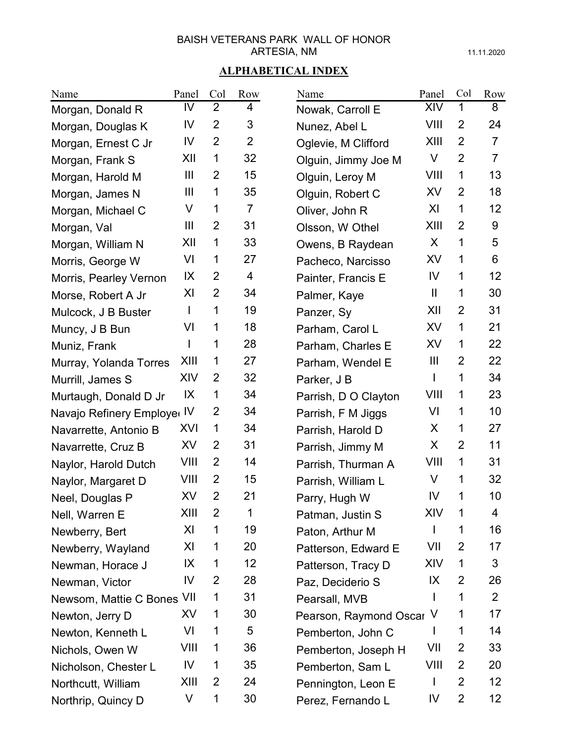11.11.2020

| Name                        | Panel          | Col            | Row            | Name                     | Panel          | Col            | Row            |
|-----------------------------|----------------|----------------|----------------|--------------------------|----------------|----------------|----------------|
| Morgan, Donald R            | IV             | $\overline{2}$ | 4              | Nowak, Carroll E         | XIV            | 1              | 8              |
| Morgan, Douglas K           | IV             | $\overline{2}$ | 3              | Nunez, Abel L            | VIII           | $\overline{2}$ | 24             |
| Morgan, Ernest C Jr         | IV             | $\overline{2}$ | $\overline{2}$ | Oglevie, M Clifford      | XIII           | 2              | $\overline{7}$ |
| Morgan, Frank S             | XII            | 1              | 32             | Olguin, Jimmy Joe M      | V              | $\overline{2}$ | $\overline{7}$ |
| Morgan, Harold M            | Ш              | $\overline{2}$ | 15             | Olguin, Leroy M          | VIII           | 1              | 13             |
| Morgan, James N             | $\mathbf{III}$ | 1              | 35             | Olguin, Robert C         | XV             | $\overline{2}$ | 18             |
| Morgan, Michael C           | V              | 1              | $\overline{7}$ | Oliver, John R           | XI             | 1              | 12             |
| Morgan, Val                 | Ш              | $\overline{2}$ | 31             | Olsson, W Othel          | XIII           | $\overline{2}$ | 9              |
| Morgan, William N           | XII            | 1              | 33             | Owens, B Raydean         | X.             | 1              | 5              |
| Morris, George W            | VI             | 1              | 27             | Pacheco, Narcisso        | XV             | 1              | 6              |
| Morris, Pearley Vernon      | IX             | 2              | $\overline{4}$ | Painter, Francis E       | IV             | 1              | 12             |
| Morse, Robert A Jr          | XI             | $\overline{2}$ | 34             | Palmer, Kaye             | $\mathbf{  }$  | 1              | 30             |
| Mulcock, J B Buster         | T              | 1              | 19             | Panzer, Sy               | XII            | 2              | 31             |
| Muncy, J B Bun              | VI             | 1              | 18             | Parham, Carol L          | XV             | 1              | 21             |
| Muniz, Frank                | L              | 1              | 28             | Parham, Charles E        | XV             | 1              | 22             |
| Murray, Yolanda Torres      | XIII           | 1              | 27             | Parham, Wendel E         | $\mathbf{III}$ | $\overline{2}$ | 22             |
| Murrill, James S            | XIV            | 2              | 32             | Parker, J B              | $\mathbf{I}$   | 1              | 34             |
| Murtaugh, Donald D Jr       | IX             | 1              | 34             | Parrish, D O Clayton     | VIII           | 1              | 23             |
| Navajo Refinery Employer IV |                | $\overline{2}$ | 34             | Parrish, F M Jiggs       | VI             | 1              | 10             |
| Navarrette, Antonio B       | XVI            | 1              | 34             | Parrish, Harold D        | X              | 1              | 27             |
| Navarrette, Cruz B          | <b>XV</b>      | $\overline{2}$ | 31             | Parrish, Jimmy M         | X.             | $\overline{2}$ | 11             |
| Naylor, Harold Dutch        | VIII           | $\overline{2}$ | 14             | Parrish, Thurman A       | VIII           | 1              | 31             |
| Naylor, Margaret D          | VIII           | 2              | 15             | Parrish, William L       | V              | 1              | 32             |
| Neel, Douglas P             | XV             | $\overline{2}$ | 21             | Parry, Hugh W            | IV             | 1              | 10             |
| Nell, Warren E              | XIII           | $\overline{2}$ | 1              | Patman, Justin S         | XIV            | 1              | $\overline{4}$ |
| Newberry, Bert              | XI             | 1              | 19             | Paton, Arthur M          |                | 1              | 16             |
| Newberry, Wayland           | XI             | 1              | 20             | Patterson, Edward E      | VII            | 2              | 17             |
| Newman, Horace J            | IX             | 1              | 12             | Patterson, Tracy D       | XIV            | 1              | 3              |
| Newman, Victor              | IV             | 2              | 28             | Paz, Deciderio S         | IX             | 2              | 26             |
| Newsom, Mattie C Bones VII  |                | 1              | 31             | Pearsall, MVB            |                | 1              | $\overline{2}$ |
| Newton, Jerry D             | XV             | 1              | 30             | Pearson, Raymond Oscar V |                | 1              | 17             |
| Newton, Kenneth L           | VI             | 1              | 5              | Pemberton, John C        |                | 1              | 14             |
| Nichols, Owen W             | VIII           | 1              | 36             | Pemberton, Joseph H      | VII            | 2              | 33             |
| Nicholson, Chester L        | IV             | 1              | 35             | Pemberton, Sam L         | VIII           | 2              | 20             |
| Northcutt, William          | XIII           | 2              | 24             | Pennington, Leon E       | L              | 2              | 12             |
| Northrip, Quincy D          | V              | 1              | 30             | Perez, Fernando L        | IV             | $\overline{2}$ | 12             |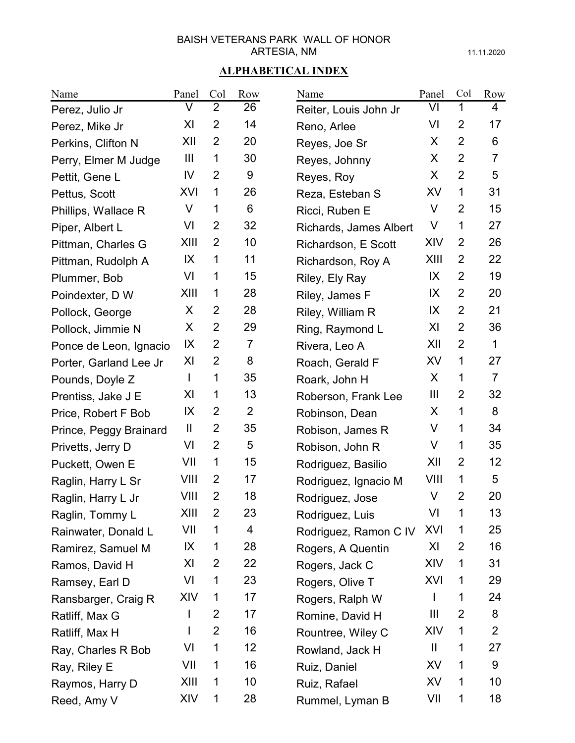11.11.2020

| Name                   | Panel          | Col            | Row            | Name                   | Panel          | Col            | Row             |
|------------------------|----------------|----------------|----------------|------------------------|----------------|----------------|-----------------|
| Perez, Julio Jr        | V              | $\overline{2}$ | 26             | Reiter, Louis John Jr  | VI             | 1              | 4               |
| Perez, Mike Jr         | XI             | $\overline{2}$ | 14             | Reno, Arlee            | VI             | $\overline{2}$ | 17              |
| Perkins, Clifton N     | XII            | 2              | 20             | Reyes, Joe Sr          | X              | $\overline{2}$ | 6               |
| Perry, Elmer M Judge   | $\mathbf{III}$ | 1              | 30             | Reyes, Johnny          | X              | $\overline{2}$ | $\overline{7}$  |
| Pettit, Gene L         | IV             | 2              | 9              | Reyes, Roy             | X.             | $\overline{2}$ | 5               |
| Pettus, Scott          | XVI            | 1              | 26             | Reza, Esteban S        | XV             | 1              | 31              |
| Phillips, Wallace R    | V              | 1              | 6              | Ricci, Ruben E         | V              | 2              | 15              |
| Piper, Albert L        | VI             | $\overline{2}$ | 32             | Richards, James Albert | V              | 1              | 27              |
| Pittman, Charles G     | XIII           | 2              | 10             | Richardson, E Scott    | XIV            | $\overline{2}$ | 26              |
| Pittman, Rudolph A     | IX             | 1              | 11             | Richardson, Roy A      | XIII           | $\overline{2}$ | 22              |
| Plummer, Bob           | VI             | 1              | 15             | Riley, Ely Ray         | IX             | 2              | 19              |
| Poindexter, D W        | XIII           | 1              | 28             | Riley, James F         | IX             | $\overline{2}$ | 20              |
| Pollock, George        | X              | 2              | 28             | Riley, William R       | IX             | 2              | 21              |
| Pollock, Jimmie N      | X              | $\overline{2}$ | 29             | Ring, Raymond L        | XI             | $\overline{2}$ | 36              |
| Ponce de Leon, Ignacio | IX             | 2              | $\overline{7}$ | Rivera, Leo A          | XII            | 2              | 1               |
| Porter, Garland Lee Jr | XI             | $\overline{2}$ | 8              | Roach, Gerald F        | XV             | 1              | 27              |
| Pounds, Doyle Z        | L              | 1              | 35             | Roark, John H          | X              | 1              | $\overline{7}$  |
| Prentiss, Jake J E     | XI             | 1              | 13             | Roberson, Frank Lee    | $\mathbf{III}$ | $\overline{2}$ | 32              |
| Price, Robert F Bob    | IX             | $\overline{2}$ | $\overline{2}$ | Robinson, Dean         | X              | 1              | 8               |
| Prince, Peggy Brainard | $\mathbf{  }$  | $\overline{2}$ | 35             | Robison, James R       | V              | 1              | 34              |
| Privetts, Jerry D      | VI             | 2              | 5              | Robison, John R        | V              | 1              | 35              |
| Puckett, Owen E        | VII            | 1              | 15             | Rodriguez, Basilio     | XII            | $\overline{2}$ | 12 <sup>2</sup> |
| Raglin, Harry L Sr     | VIII           | 2              | 17             | Rodriguez, Ignacio M   | VIII           | 1              | 5               |
| Raglin, Harry L Jr     | VIII           | $\overline{2}$ | 18             | Rodriguez, Jose        | V              | $\overline{2}$ | 20              |
| Raglin, Tommy L        | XIII           | 2              | 23             | Rodriguez, Luis        | VI             | 1              | 13              |
| Rainwater, Donald L    | VII            | 1              | 4              | Rodriguez, Ramon C IV  | <b>XVI</b>     | 1              | 25              |
| Ramirez, Samuel M      | IX             | 1              | 28             | Rogers, A Quentin      | XI             | 2              | 16              |
| Ramos, David H         | XI             | 2              | 22             | Rogers, Jack C         | XIV            | 1              | 31              |
| Ramsey, Earl D         | VI             | 1              | 23             | Rogers, Olive T        | XVI            | 1              | 29              |
| Ransbarger, Craig R    | XIV            | 1              | 17             | Rogers, Ralph W        |                | 1              | 24              |
| Ratliff, Max G         | I              | 2              | 17             | Romine, David H        | Ш              | 2              | 8               |
| Ratliff, Max H         |                | 2              | 16             | Rountree, Wiley C      | XIV            | 1              | $\mathbf{2}$    |
| Ray, Charles R Bob     | VI             | 1              | 12             | Rowland, Jack H        | Ш              | 1              | 27              |
| Ray, Riley E           | VII            | 1              | 16             | Ruiz, Daniel           | XV             | 1              | 9               |
| Raymos, Harry D        | XIII           | 1              | 10             | Ruiz, Rafael           | XV             | 1              | 10              |
| Reed, Amy V            | XIV            | 1              | 28             | Rummel, Lyman B        | VII            | 1              | 18              |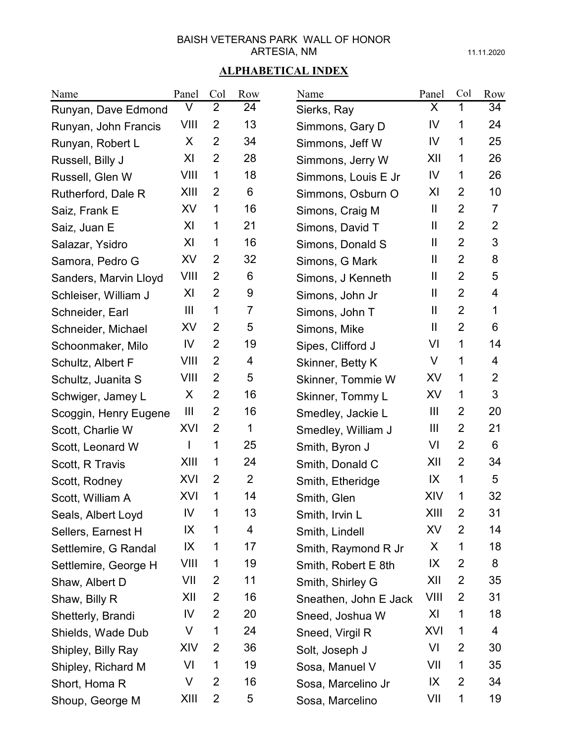11.11.2020

| Name                  | Panel          | Col            | Row            | Name                  | Panel                  | Col            | Row            |
|-----------------------|----------------|----------------|----------------|-----------------------|------------------------|----------------|----------------|
| Runyan, Dave Edmond   | V              | $\overline{2}$ | 24             | Sierks, Ray           | X                      | 1              | 34             |
| Runyan, John Francis  | VIII           | $\overline{2}$ | 13             | Simmons, Gary D       | IV                     | 1              | 24             |
| Runyan, Robert L      | X              | $\overline{2}$ | 34             | Simmons, Jeff W       | IV                     | 1              | 25             |
| Russell, Billy J      | XI             | $\overline{2}$ | 28             | Simmons, Jerry W      | XII                    | 1              | 26             |
| Russell, Glen W       | VIII           | 1              | 18             | Simmons, Louis E Jr   | IV                     | 1              | 26             |
| Rutherford, Dale R    | XIII           | 2              | 6              | Simmons, Osburn O     | XI                     | $\overline{2}$ | 10             |
| Saiz, Frank E         | XV             | 1              | 16             | Simons, Craig M       | $\mathbf{H}$           | $\overline{2}$ | $\overline{7}$ |
| Saiz, Juan E          | XI             | 1              | 21             | Simons, David T       | $\mathbf{\mathsf{II}}$ | $\overline{2}$ | $\overline{2}$ |
| Salazar, Ysidro       | XI             | 1              | 16             | Simons, Donald S      | Ш                      | $\overline{2}$ | 3              |
| Samora, Pedro G       | XV             | $\overline{2}$ | 32             | Simons, G Mark        | $\mathbf{\mathsf{II}}$ | $\overline{2}$ | 8              |
| Sanders, Marvin Lloyd | VIII           | $\overline{2}$ | 6              | Simons, J Kenneth     | Ш                      | $\overline{2}$ | 5              |
| Schleiser, William J  | XI             | $\overline{2}$ | 9              | Simons, John Jr       | $\mathbf{\mathsf{II}}$ | $\overline{2}$ | 4              |
| Schneider, Earl       | $\mathbf{III}$ | 1              | $\overline{7}$ | Simons, John T        | Ш                      | $\overline{2}$ | 1              |
| Schneider, Michael    | XV             | 2              | 5              | Simons, Mike          | Ш                      | $\overline{2}$ | 6              |
| Schoonmaker, Milo     | IV             | $\overline{2}$ | 19             | Sipes, Clifford J     | VI                     | 1              | 14             |
| Schultz, Albert F     | VIII           | 2              | 4              | Skinner, Betty K      | V                      | 1              | 4              |
| Schultz, Juanita S    | VIII           | 2              | 5              | Skinner, Tommie W     | XV                     | 1              | $\overline{2}$ |
| Schwiger, Jamey L     | X              | $\overline{2}$ | 16             | Skinner, Tommy L      | XV                     | 1              | 3              |
| Scoggin, Henry Eugene | $\mathbf{III}$ | $\overline{2}$ | 16             | Smedley, Jackie L     | $\mathbf{III}$         | $\overline{2}$ | 20             |
| Scott, Charlie W      | XVI            | $\overline{2}$ | 1              | Smedley, William J    | $\mathbf{III}$         | $\overline{2}$ | 21             |
| Scott, Leonard W      | I              | 1              | 25             | Smith, Byron J        | VI                     | $\overline{2}$ | 6              |
| Scott, R Travis       | XIII           | 1              | 24             | Smith, Donald C       | XII                    | $\overline{2}$ | 34             |
| Scott, Rodney         | XVI            | 2              | $\overline{2}$ | Smith, Etheridge      | IX                     | 1              | 5              |
| Scott, William A      | XVI            | 1              | 14             | Smith, Glen           | XIV                    | 1              | 32             |
| Seals, Albert Loyd    | IV             | 1              | 13             | Smith, Irvin L        | XIII                   | 2              | 31             |
| Sellers, Earnest H    | IX             | 1              | 4              | Smith, Lindell        | XV                     | 2              | 14             |
| Settlemire, G Randal  | IX             | 1              | 17             | Smith, Raymond R Jr   | X                      | 1              | 18             |
| Settlemire, George H  | VIII           | 1              | 19             | Smith, Robert E 8th   | IX                     | 2              | 8              |
| Shaw, Albert D        | VII            | 2              | 11             | Smith, Shirley G      | XII                    | 2              | 35             |
| Shaw, Billy R         | XII            | 2              | 16             | Sneathen, John E Jack | VIII                   | 2              | 31             |
| Shetterly, Brandi     | IV             | 2              | 20             | Sneed, Joshua W       | XI                     | 1              | 18             |
| Shields, Wade Dub     | V              | 1              | 24             | Sneed, Virgil R       | XVI                    | 1              | 4              |
| Shipley, Billy Ray    | XIV            | 2              | 36             | Solt, Joseph J        | VI                     | 2              | 30             |
| Shipley, Richard M    | VI             | 1              | 19             | Sosa, Manuel V        | VII                    | 1              | 35             |
| Short, Homa R         | V              | 2              | 16             | Sosa, Marcelino Jr    | IX                     | 2              | 34             |
| Shoup, George M       | XIII           | $\overline{2}$ | 5              | Sosa, Marcelino       | VII                    | 1              | 19             |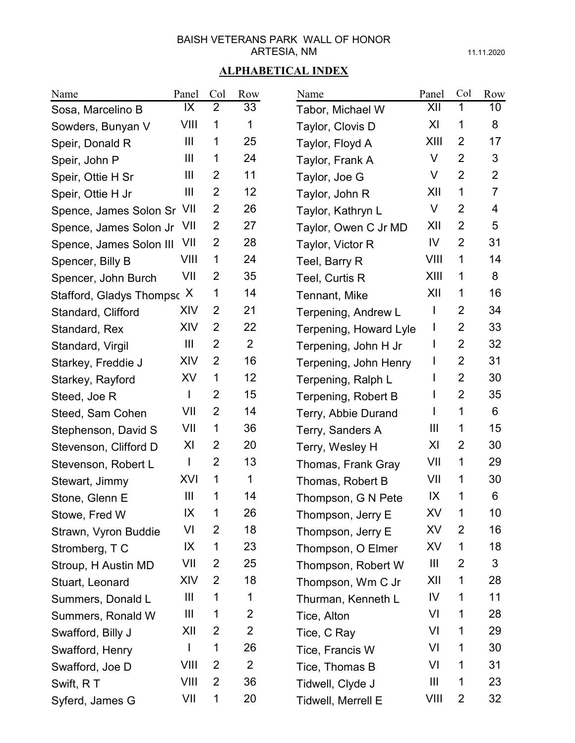11.11.2020

| Name                       | Panel          | Col            | Row            | Name                   | Panel        | Col            | Row            |
|----------------------------|----------------|----------------|----------------|------------------------|--------------|----------------|----------------|
| Sosa, Marcelino B          | IX             | $\overline{2}$ | 33             | Tabor, Michael W       | XII          | 1              | 10             |
| Sowders, Bunyan V          | VIII           | 1              | 1              | Taylor, Clovis D       | XI           | 1              | 8              |
| Speir, Donald R            | $\mathbf{III}$ | 1              | 25             | Taylor, Floyd A        | XIII         | 2              | 17             |
| Speir, John P              | $\mathbf{III}$ | 1              | 24             | Taylor, Frank A        | V            | $\overline{2}$ | 3              |
| Speir, Ottie H Sr          | $\mathbf{III}$ | 2              | 11             | Taylor, Joe G          | V            | $\overline{2}$ | 2              |
| Speir, Ottie H Jr          | $\mathbf{III}$ | $\overline{2}$ | 12             | Taylor, John R         | XII          | 1              | $\overline{7}$ |
| Spence, James Solon Sr VII |                | 2              | 26             | Taylor, Kathryn L      | V            | $\overline{2}$ | 4              |
| Spence, James Solon Jr     | - VII          | $\overline{2}$ | 27             | Taylor, Owen C Jr MD   | XII          | $\overline{2}$ | 5              |
| Spence, James Solon III    | VII            | $\overline{2}$ | 28             | Taylor, Victor R       | IV           | $\overline{2}$ | 31             |
| Spencer, Billy B           | VIII           | 1              | 24             | Teel, Barry R          | VIII         | 1              | 14             |
| Spencer, John Burch        | VII            | $\overline{2}$ | 35             | Teel, Curtis R         | XIII         | 1              | 8              |
| Stafford, Gladys Thomps X  |                | 1              | 14             | Tennant, Mike          | XII          | 1              | 16             |
| Standard, Clifford         | XIV            | $\overline{2}$ | 21             | Terpening, Andrew L    | L            | 2              | 34             |
| Standard, Rex              | XIV            | 2              | 22             | Terpening, Howard Lyle | $\mathsf{I}$ | $\overline{2}$ | 33             |
| Standard, Virgil           | $\mathbf{III}$ | $\overline{2}$ | 2              | Terpening, John H Jr   | L            | 2              | 32             |
| Starkey, Freddie J         | XIV            | $\overline{2}$ | 16             | Terpening, John Henry  |              | $\overline{2}$ | 31             |
| Starkey, Rayford           | XV             | 1              | 12             | Terpening, Ralph L     |              | $\overline{2}$ | 30             |
| Steed, Joe R               | I              | $\overline{2}$ | 15             | Terpening, Robert B    |              | $\overline{2}$ | 35             |
| Steed, Sam Cohen           | VII            | $\overline{2}$ | 14             | Terry, Abbie Durand    |              | 1              | 6              |
| Stephenson, David S        | VII            | 1              | 36             | Terry, Sanders A       | Ш            | 1              | 15             |
| Stevenson, Clifford D      | XI             | 2              | 20             | Terry, Wesley H        | XI           | $\overline{2}$ | 30             |
| Stevenson, Robert L        | L              | $\overline{2}$ | 13             | Thomas, Frank Gray     | VII          | 1              | 29             |
| Stewart, Jimmy             | XVI            | 1              | 1              | Thomas, Robert B       | VII          | 1              | 30             |
| Stone, Glenn E             | $\mathbf{III}$ | 1              | 14             | Thompson, G N Pete     | IX           | 1              | 6              |
| Stowe, Fred W              | IX             | 1              | 26             | Thompson, Jerry E      | XV           | 1              | 10             |
| Strawn, Vyron Buddie       | VI             | 2              | 18             | Thompson, Jerry E      | XV           | 2              | 16             |
| Stromberg, TC              | IX             | 1              | 23             | Thompson, O Elmer      | XV           | 1              | 18             |
| Stroup, H Austin MD        | VII            | 2              | 25             | Thompson, Robert W     | Ш            | 2              | 3              |
| Stuart, Leonard            | XIV            | 2              | 18             | Thompson, Wm C Jr      | XII          | 1              | 28             |
| Summers, Donald L          | Ш              | 1              | 1              | Thurman, Kenneth L     | IV           | 1              | 11             |
| Summers, Ronald W          | Ш              | 1              | $\overline{2}$ | Tice, Alton            | VI           | 1              | 28             |
| Swafford, Billy J          | XII            | 2              | $\overline{2}$ | Tice, C Ray            | VI           | 1              | 29             |
| Swafford, Henry            | $\mathsf{I}$   | 1              | 26             | Tice, Francis W        | VI           | 1              | 30             |
| Swafford, Joe D            | VIII           | 2              | $\overline{2}$ | Tice, Thomas B         | VI           | 1              | 31             |
| Swift, RT                  | VIII           | 2              | 36             | Tidwell, Clyde J       | Ш            | 1              | 23             |
| Syferd, James G            | VII            | 1              | 20             | Tidwell, Merrell E     | VIII         | $\overline{2}$ | 32             |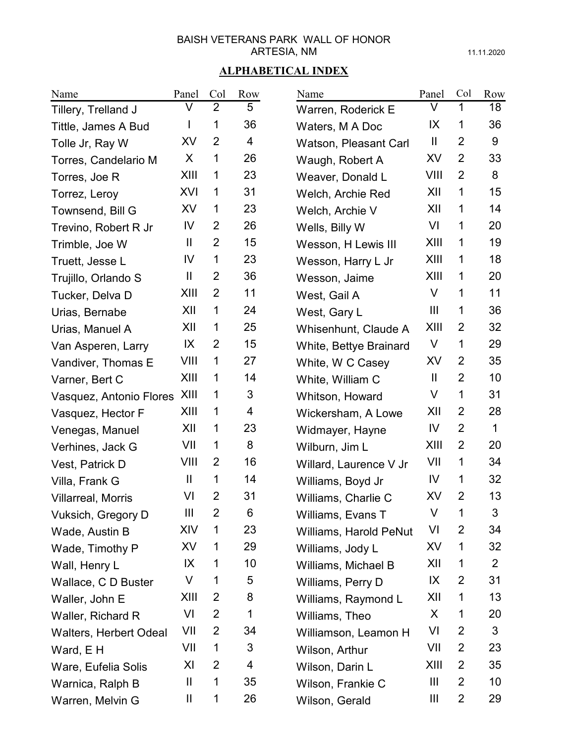11.11.2020

| Name                          | Panel         | Col            | Row | Name                   | Panel          | Col            | Row            |
|-------------------------------|---------------|----------------|-----|------------------------|----------------|----------------|----------------|
| Tillery, Trelland J           | V             | $\overline{2}$ | 5   | Warren, Roderick E     | V              | 1              | 18             |
| Tittle, James A Bud           |               | 1              | 36  | Waters, M A Doc        | IX             | 1              | 36             |
| Tolle Jr, Ray W               | <b>XV</b>     | 2              | 4   | Watson, Pleasant Carl  | $\mathbf{H}$   | $\overline{2}$ | 9              |
| Torres, Candelario M          | X             | $\mathbf 1$    | 26  | Waugh, Robert A        | XV             | $\overline{2}$ | 33             |
| Torres, Joe R                 | XIII          | 1              | 23  | Weaver, Donald L       | VIII           | $\overline{2}$ | 8              |
| Torrez, Leroy                 | XVI           | 1              | 31  | Welch, Archie Red      | XII            | 1              | 15             |
| Townsend, Bill G              | XV            | 1              | 23  | Welch, Archie V        | XII            | 1              | 14             |
| Trevino, Robert R Jr          | IV            | $\overline{2}$ | 26  | Wells, Billy W         | VI             | 1              | 20             |
| Trimble, Joe W                | $\mathbf{  }$ | $\overline{2}$ | 15  | Wesson, H Lewis III    | XIII           | 1              | 19             |
| Truett, Jesse L               | IV            | $\mathbf 1$    | 23  | Wesson, Harry L Jr     | XIII           | 1              | 18             |
| Trujillo, Orlando S           | Ш             | $\overline{2}$ | 36  | Wesson, Jaime          | XIII           | 1              | 20             |
| Tucker, Delva D               | XIII          | $\overline{2}$ | 11  | West, Gail A           | V              | 1              | 11             |
| Urias, Bernabe                | XII           | 1              | 24  | West, Gary L           | $\mathbf{III}$ | 1              | 36             |
| Urias, Manuel A               | XII           | 1              | 25  | Whisenhunt, Claude A   | XIII           | 2              | 32             |
| Van Asperen, Larry            | IX            | 2              | 15  | White, Bettye Brainard | V              | 1              | 29             |
| Vandiver, Thomas E            | VIII          | 1              | 27  | White, W C Casey       | XV             | $\overline{2}$ | 35             |
| Varner, Bert C                | XIII          | 1              | 14  | White, William C       | Ш              | $\overline{2}$ | 10             |
| Vasquez, Antonio Flores       | XIII          | $\mathbf 1$    | 3   | Whitson, Howard        | $\vee$         | 1              | 31             |
| Vasquez, Hector F             | XIII          | 1              | 4   | Wickersham, A Lowe     | XII            | $\overline{2}$ | 28             |
| Venegas, Manuel               | XII           | 1              | 23  | Widmayer, Hayne        | IV             | $\overline{2}$ | $\mathbf{1}$   |
| Verhines, Jack G              | VII           | 1              | 8   | Wilburn, Jim L         | XIII           | $\overline{2}$ | 20             |
| Vest, Patrick D               | VIII          | 2              | 16  | Willard, Laurence V Jr | VII            | 1              | 34             |
| Villa, Frank G                | Ш             | 1              | 14  | Williams, Boyd Jr      | IV             | 1              | 32             |
| <b>Villarreal, Morris</b>     | VI            | $\overline{2}$ | 31  | Williams, Charlie C    | XV             | $\overline{2}$ | 13             |
| Vuksich, Gregory D            | Ш             | 2              | 6   | Williams, Evans T      | V              | 1              | 3              |
| Wade, Austin B                | XIV           | 1              | 23  | Williams, Harold PeNut | VI             | 2              | 34             |
| Wade, Timothy P               | XV            | 1              | 29  | Williams, Jody L       | XV             | 1              | 32             |
| Wall, Henry L                 | IX            | 1              | 10  | Williams, Michael B    | XII            | 1              | $\overline{2}$ |
| Wallace, C D Buster           | V             | 1              | 5   | Williams, Perry D      | IX             | $\overline{2}$ | 31             |
| Waller, John E                | XIII          | 2              | 8   | Williams, Raymond L    | XII            | 1              | 13             |
| Waller, Richard R             | VI            | $\overline{2}$ | 1   | Williams, Theo         | X              | 1              | 20             |
| <b>Walters, Herbert Odeal</b> | VII           | 2              | 34  | Williamson, Leamon H   | VI             | 2              | 3              |
| Ward, E H                     | VII           | 1              | 3   | Wilson, Arthur         | VII            | 2              | 23             |
| Ware, Eufelia Solis           | XI            | 2              | 4   | Wilson, Darin L        | XIII           | 2              | 35             |
| Warnica, Ralph B              | Ш             | 1              | 35  | Wilson, Frankie C      | Ш              | $\overline{2}$ | 10             |
| Warren, Melvin G              | Ш             | $\mathbf 1$    | 26  | Wilson, Gerald         | Ш              | $\overline{2}$ | 29             |